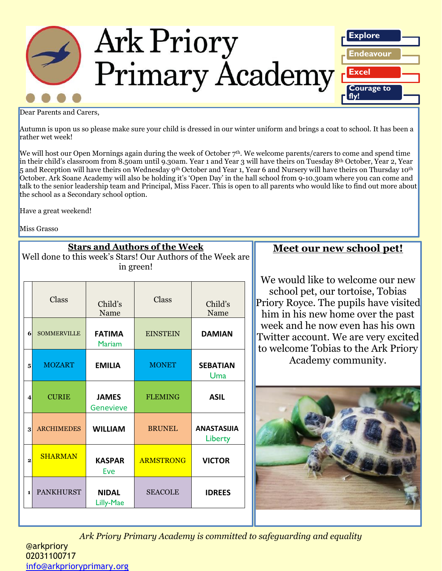

Dear Parents and Carers,

Autumn is upon us so please make sure your child is dressed in our winter uniform and brings a coat to school. It has been a rather wet week!

We will host our Open Mornings again during the week of October  $7<sup>th</sup>$ . We welcome parents/carers to come and spend time in their child's classroom from 8.50am until 9.30am. Year 1 and Year 3 will have theirs on Tuesday 8th October, Year 2, Year 5 and Reception will have theirs on Wednesday 9th October and Year 1, Year 6 and Nursery will have theirs on Thursday 10th October. Ark Soane Academy will also be holding it's 'Open Day' in the hall school from 9-10.30am where you can come and talk to the senior leadership team and Principal, Miss Facer. This is open to all parents who would like to find out more about the school as a Secondary school option.

Have a great weekend!

Miss Grasso

|                         | <b>Stars and Authors of the Week</b><br>Well done to this week's Stars! Our Authors of the Week are<br>in green! |                                |                  |                               |  |  |
|-------------------------|------------------------------------------------------------------------------------------------------------------|--------------------------------|------------------|-------------------------------|--|--|
|                         | Class                                                                                                            | Child's<br>Name                | Class            | Child's<br>Name               |  |  |
| 6                       | <b>SOMMERVILLE</b>                                                                                               | <b>FATIMA</b><br><b>Mariam</b> | <b>EINSTEIN</b>  | <b>DAMIAN</b>                 |  |  |
| 5                       | <b>MOZART</b>                                                                                                    | <b>EMILIA</b>                  | <b>MONET</b>     | <b>SEBATIAN</b><br>Uma        |  |  |
| $\overline{\mathbf{4}}$ | <b>CURIE</b>                                                                                                     | <b>JAMES</b><br>Genevieve      | <b>FLEMING</b>   | <b>ASIL</b>                   |  |  |
| $\bf{3}$                | <b>ARCHIMEDES</b>                                                                                                | <b>WILLIAM</b>                 | <b>BRUNEL</b>    | <b>ANASTASIJIA</b><br>Liberty |  |  |
| $\overline{2}$          | <b>SHARMAN</b>                                                                                                   | <b>KASPAR</b><br>Eve           | <b>ARMSTRONG</b> | <b>VICTOR</b>                 |  |  |
| $\mathbf{1}$            | <b>PANKHURST</b>                                                                                                 | <b>NIDAL</b><br>Lilly-Mae      | <b>SEACOLE</b>   | <b>IDREES</b>                 |  |  |

## **Meet our new school pet!**

We would like to welcome our new school pet, our tortoise, Tobias Priory Royce. The pupils have visited him in his new home over the past week and he now even has his own Twitter account. We are very excited to welcome Tobias to the Ark Priory Academy community.



*Ark Priory Primary Academy is committed to safeguarding and equality*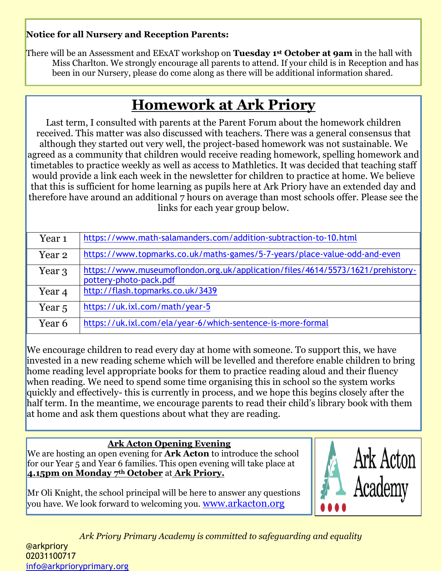### **Notice for all Nursery and Reception Parents:**

There will be an Assessment and EExAT workshop on **Tuesday 1st October at 9am** in the hall with Miss Charlton. We strongly encourage all parents to attend. If your child is in Reception and has been in our Nursery, please do come along as there will be additional information shared.

# **Homework at Ark Priory**

Last term, I consulted with parents at the Parent Forum about the homework children received. This matter was also discussed with teachers. There was a general consensus that although they started out very well, the project-based homework was not sustainable. We agreed as a community that children would receive reading homework, spelling homework and timetables to practice weekly as well as access to Mathletics. It was decided that teaching staff would provide a link each week in the newsletter for children to practice at home. We believe that this is sufficient for home learning as pupils here at Ark Priory have an extended day and therefore have around an additional 7 hours on average than most schools offer. Please see the links for each year group below.

| Year <sub>1</sub> | https://www.math-salamanders.com/addition-subtraction-to-10.html                                         |
|-------------------|----------------------------------------------------------------------------------------------------------|
| Year 2            | https://www.topmarks.co.uk/maths-games/5-7-years/place-value-odd-and-even                                |
| Year 3            | https://www.museumoflondon.org.uk/application/files/4614/5573/1621/prehistory-<br>pottery-photo-pack.pdf |
| Year <sub>4</sub> | http://flash.topmarks.co.uk/3439                                                                         |
| Year <sub>5</sub> | https://uk.ixl.com/math/year-5                                                                           |
| Year 6            | https://uk.ixl.com/ela/year-6/which-sentence-is-more-formal                                              |

We encourage children to read every day at home with someone. To support this, we have invested in a new reading scheme which will be levelled and therefore enable children to bring home reading level appropriate books for them to practice reading aloud and their fluency when reading. We need to spend some time organising this in school so the system works quickly and effectively- this is currently in process, and we hope this begins closely after the half term. In the meantime, we encourage parents to read their child's library book with them at home and ask them questions about what they are reading.

### **Ark Acton Opening Evening**

We are hosting an open evening for **Ark Acton** to introduce the school for our Year 5 and Year 6 families. This open evening will take place at **4.15pm on Monday 7th October** at **Ark Priory.**

Mr Oli Knight, the school principal will be here to answer any questions you have. We look forward to welcoming you. [www.arkacton.org](http://www.arkacton.org/)



*Ark Priory Primary Academy is committed to safeguarding and equality*  @arkpriory 02031100717 [info@arkprioryprimary.org](mailto:info@arkprioryprimary.org)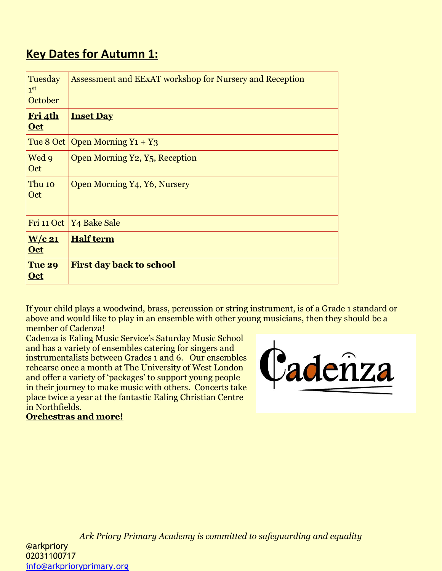# **Key Dates for Autumn 1:**

| Tuesday<br>1 <sup>st</sup><br>October | Assessment and EExAT workshop for Nursery and Reception |
|---------------------------------------|---------------------------------------------------------|
| <u>Fri 4th</u><br><b>Oct</b>          | <b>Inset Day</b>                                        |
|                                       | Tue 8 Oct   Open Morning $Y_1 + Y_3$                    |
| Wed 9<br>Oct                          | Open Morning Y2, Y <sub>5</sub> , Reception             |
| Thu 10<br>Oct                         | Open Morning Y4, Y6, Nursery                            |
|                                       | Fri 11 Oct   Y4 Bake Sale                               |
| $W/c$ 21<br><b>Oct</b>                | <b>Half term</b>                                        |
| <b>Tue 29</b><br><u>Oct</u>           | <b>First day back to school</b>                         |

If your child plays a woodwind, brass, percussion or string instrument, is of a Grade 1 standard or above and would like to play in an ensemble with other young musicians, then they should be a member of Cadenza!

Cadenza is Ealing Music Service's Saturday Music School and has a variety of ensembles catering for singers and instrumentalists between Grades 1 and 6. Our ensembles rehearse once a month at The University of West London and offer a variety of 'packages' to support young people in their journey to make music with others. Concerts take place twice a year at the fantastic Ealing Christian Centre in Northfields.



**Orchestras and more!**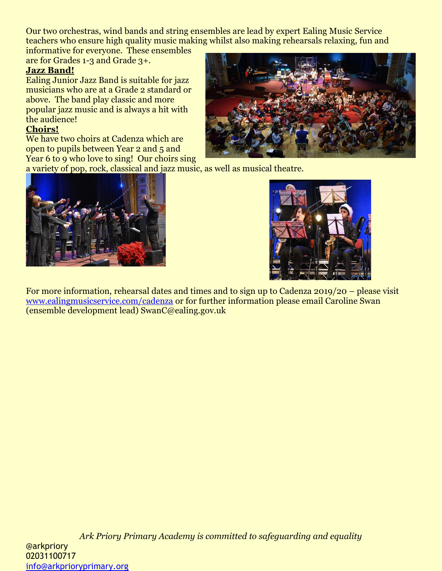Our two orchestras, wind bands and string ensembles are lead by expert Ealing Music Service teachers who ensure high quality music making whilst also making rehearsals relaxing, fun and

informative for everyone. These ensembles are for Grades 1-3 and Grade 3+.

### **Jazz Band!**

Ealing Junior Jazz Band is suitable for jazz musicians who are at a Grade 2 standard or above. The band play classic and more popular jazz music and is always a hit with the audience!

### **Choirs!**

We have two choirs at Cadenza which are open to pupils between Year 2 and 5 and Year 6 to 9 who love to sing! Our choirs sing



a variety of pop, rock, classical and jazz music, as well as musical theatre.





For more information, rehearsal dates and times and to sign up to Cadenza 2019/20 – please visit [www.ealingmusicservice.com/cadenza](http://www.ealingmusicservice.com/cadenza) or for further information please email Caroline Swan (ensemble development lead) SwanC@ealing.gov.uk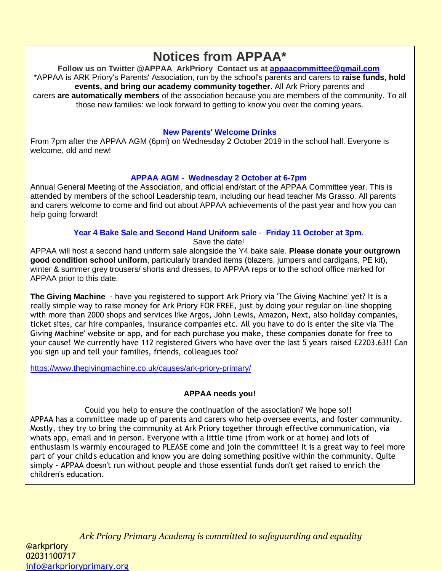# **Notices from APPAA\***

**Follow us on Twitter @APPAA\_ArkPriory Contact us at [appaacommittee@gmail.com](mailto:appaacommittee@gmail.com)** \*APPAA is ARK Priory's Parents' Association, run by the school's parents and carers to **raise funds, hold events, and bring our academy community together**. All Ark Priory parents and carers **are automatically members** of the association because you are members of the community. To all those new families: we look forward to getting to know you over the coming years.

#### **New Parents' Welcome Drinks**

From 7pm after the APPAA AGM (6pm) on Wednesday 2 October 2019 in the school hall. Everyone is welcome, old and new!

### **APPAA AGM - Wednesday 2 October at 6-7pm**

Annual General Meeting of the Association, and official end/start of the APPAA Committee year. This is attended by members of the school Leadership team, including our head teacher Ms Grasso. All parents and carers welcome to come and find out about APPAA achievements of the past year and how you can help going forward!

#### **Year 4 Bake Sale and Second Hand Uniform sale** - **Friday 11 October at 3pm**.

Save the date!

APPAA will host a second hand uniform sale alongside the Y4 bake sale. **Please donate your outgrown good condition school uniform**, particularly branded items (blazers, jumpers and cardigans, PE kit), winter & summer grey trousers/ shorts and dresses, to APPAA reps or to the school office marked for APPAA prior to this date.

**The Giving Machine** - have you registered to support Ark Priory via 'The Giving Machine' yet? It is a really simple way to raise money for Ark Priory FOR FREE, just by doing your regular on-line shopping with more than 2000 shops and services like Argos, John Lewis, Amazon, Next, also holiday companies, ticket sites, car hire companies, insurance companies etc. All you have to do is enter the site via 'The Giving Machine' website or app, and for each purchase you make, these companies donate for free to your cause! We currently have 112 registered Givers who have over the last 5 years raised £2203.63!! Can you sign up and tell your families, friends, colleagues too?

<https://www.thegivingmachine.co.uk/causes/ark-priory-primary/>

### **APPAA needs you!**

Could you help to ensure the continuation of the association? We hope so!! APPAA has a committee made up of parents and carers who help oversee events, and foster community. Mostly, they try to bring the community at Ark Priory together through effective communication, via whats app, email and in person. Everyone with a little time (from work or at home) and lots of enthusiasm is warmly encouraged to PLEASE come and join the committee! It is a great way to feel more part of your child's education and know you are doing something positive within the community. Quite simply - APPAA doesn't run without people and those essential funds don't get raised to enrich the children's education.

*Ark Priory Primary Academy is committed to safeguarding and equality*  • Compiling the weekly APPAA newsletter contribution @arkpriory 02031100717 • Organising the Wishing Tree info@arkprioryprimary.org etimary Academy is commuted to discuss fundraining the senior of the senior  $\mu$  $\mathsf{r}_\mathsf{M}$  and  $\mathsf{r}_\mathsf{M}$  and  $\mathsf{r}_\mathsf{M}$  and  $\mathsf{r}_\mathsf{M}$  and  $\mathsf{r}_\mathsf{M}$  and  $\mathsf{r}_\mathsf{M}$  and  $\mathsf{r}_\mathsf{M}$